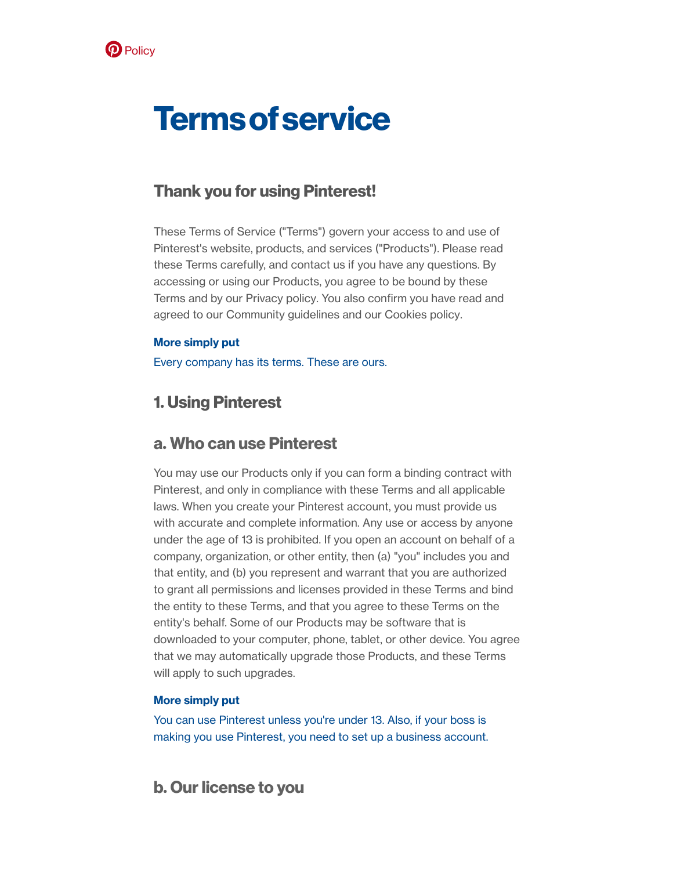

# Termsofservice

# Thank you for using Pinterest!

These Terms of Service ("Terms") govern your access to and use of Pinterest's website, products, and services ("Products"). Please read these Terms carefully, and [contact](https://help.pinterest.com/contact) us if you have any questions. By accessing or using our Products, you agree to be bound by these Terms and by our [Privacy](https://policy.pinterest.com/privacy-policy) policy. You also confirm you have read and agreed to our [Community](https://policy.pinterest.com/community-guidelines) guidelines and our [Cookies](https://policy.pinterest.com/cookies) policy.

#### More simply put

Every company has its terms. These are ours.

# 1. Using Pinterest

# a. Who can use Pinterest

You may use our Products only if you can form a binding contract with Pinterest, and only in compliance with these Terms and all applicable laws. When you create your Pinterest account, you must provide us with accurate and complete information. Any use or access by anyone under the age of 13 is prohibited. If you open an account on behalf of a company, organization, or other entity, then (a) "you" includes you and that entity, and (b) you represent and warrant that you are authorized to grant all permissions and licenses provided in these Terms and bind the entity to these Terms, and that you agree to these Terms on the entity's behalf. Some of our Products may be software that is downloaded to your computer, phone, tablet, or other device. You agree that we may automatically upgrade those Products, and these Terms will apply to such upgrades.

#### More simply put

You can use Pinterest unless you're under 13. Also, if your boss is making you use Pinterest, you need to set up a business account.

b. Our license to you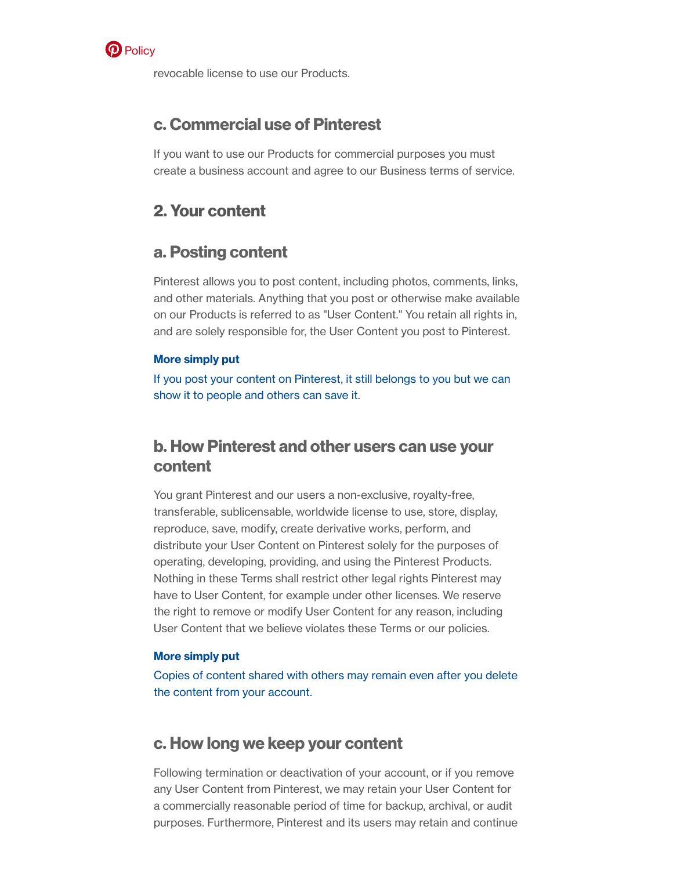

revocable license to use our Products.

## c. Commercial use of Pinterest

If you want to use our Products for commercial purposes you must create a business account and agree to our [Business](https://business.pinterest.com/business-terms-service) terms of service.

## 2. Your content

### a. Posting content

Pinterest allows you to post content, including photos, comments, links, and other materials. Anything that you post or otherwise make available on our Products is referred to as "User Content." You retain all rights in, and are solely responsible for, the User Content you post to Pinterest.

#### More simply put

If you post your content on Pinterest, it still belongs to you but we can show it to people and others can save it.

## b. How Pinterest and other users can use your content

You grant Pinterest and our users a non-exclusive, royalty-free, transferable, sublicensable, worldwide license to use, store, display, reproduce, save, modify, create derivative works, perform, and distribute your User Content on Pinterest solely for the purposes of operating, developing, providing, and using the Pinterest Products. Nothing in these Terms shall restrict other legal rights Pinterest may have to User Content, for example under other licenses. We reserve the right to remove or modify User Content for any reason, including User Content that we believe violates these Terms or our policies.

#### More simply put

Copies of content shared with others may remain even after you delete the content from your account.

#### c. How long we keep your content

Following termination or deactivation of your account, or if you remove any User Content from Pinterest, we may retain your User Content for a commercially reasonable period of time for backup, archival, or audit purposes. Furthermore, Pinterest and its users may retain and continue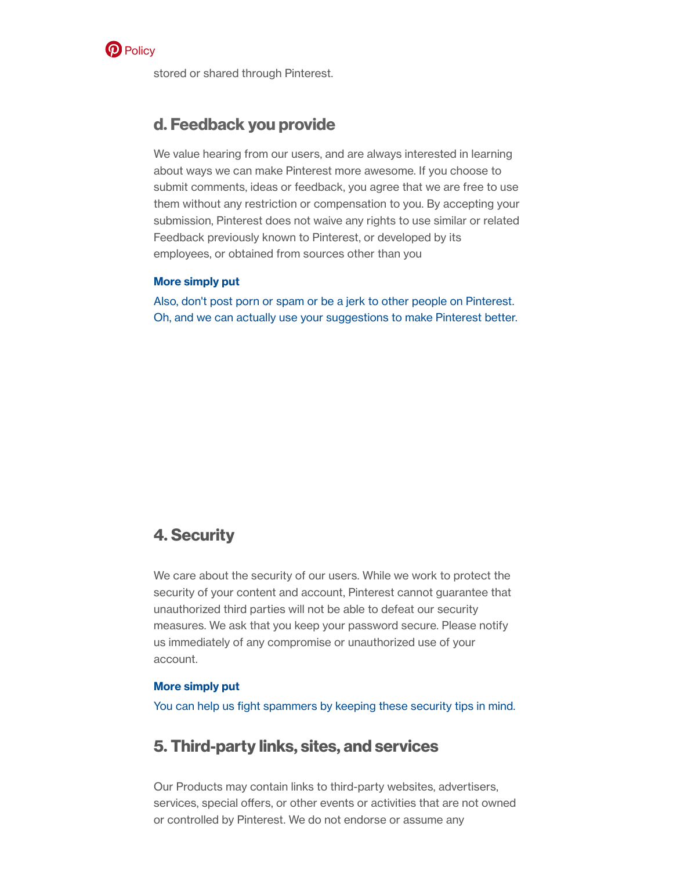

stored or shared through Pinterest.

# d. Feedback you provide

We value hearing from our users, and are always interested in learning about ways we can make Pinterest more awesome. If you choose to submit comments, ideas or feedback, you agree that we are free to use them without any restriction or compensation to you. By accepting your submission, Pinterest does not waive any rights to use similar or related Feedback previously known to Pinterest, or developed by its employees, or obtained from sources other than you

#### More simply put

Also, don't post porn or spam or be a jerk to other people on Pinterest. Oh, and we can actually use your suggestions to make Pinterest better.

## 4. Security

We care about the security of our users. While we work to protect the security of your content and account, Pinterest cannot guarantee that unauthorized third parties will not be able to defeat our security measures. We ask that you keep your password secure. Please notify us immediately of any compromise or unauthorized use of your account.

#### More simply put

You can help us fight spammers by keeping these [security](https://help.pinterest.com/en/articles/account-security-and-hacked-accounts) tips in mind.

# 5. Third-party links, sites, and services

Our Products may contain links to third-party websites, advertisers, services, special offers, or other events or activities that are not owned or controlled by Pinterest. We do not endorse or assume any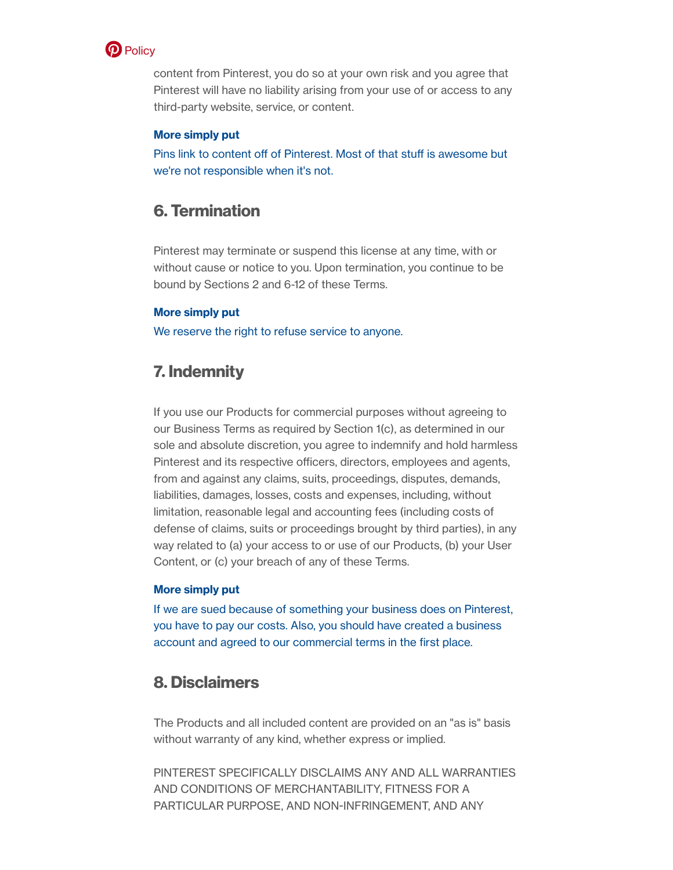

content from Pinterest, you do so at your own risk and you agree that Pinterest will have no liability arising from your use of or access to any third-party website, service, or content.

#### More simply put

Pins link to content off of Pinterest. Most of that stuff is awesome but we're not responsible when it's not.

## 6. Termination

Pinterest may terminate or suspend this license at any time, with or without cause or notice to you. Upon termination, you continue to be bound by Sections 2 and 6-12 of these Terms.

#### More simply put

We reserve the right to refuse service to anyone.

## 7. Indemnity

If you use our Products for commercial purposes without agreeing to our Business Terms as required by Section 1(c), as determined in our sole and absolute discretion, you agree to indemnify and hold harmless Pinterest and its respective officers, directors, employees and agents, from and against any claims, suits, proceedings, disputes, demands, liabilities, damages, losses, costs and expenses, including, without limitation, reasonable legal and accounting fees (including costs of defense of claims, suits or proceedings brought by third parties), in any way related to (a) your access to or use of our Products, (b) your User Content, or (c) your breach of any of these Terms.

#### More simply put

If we are sued because of something your business does on Pinterest, you have to pay our costs. Also, you should have created a business account and agreed to our commercial terms in the first place.

# 8. Disclaimers

The Products and all included content are provided on an "as is" basis without warranty of any kind, whether express or implied.

PINTEREST SPECIFICALLY DISCLAIMS ANY AND ALL WARRANTIES AND CONDITIONS OF MERCHANTABILITY, FITNESS FOR A PARTICULAR PURPOSE, AND NON-INFRINGEMENT, AND ANY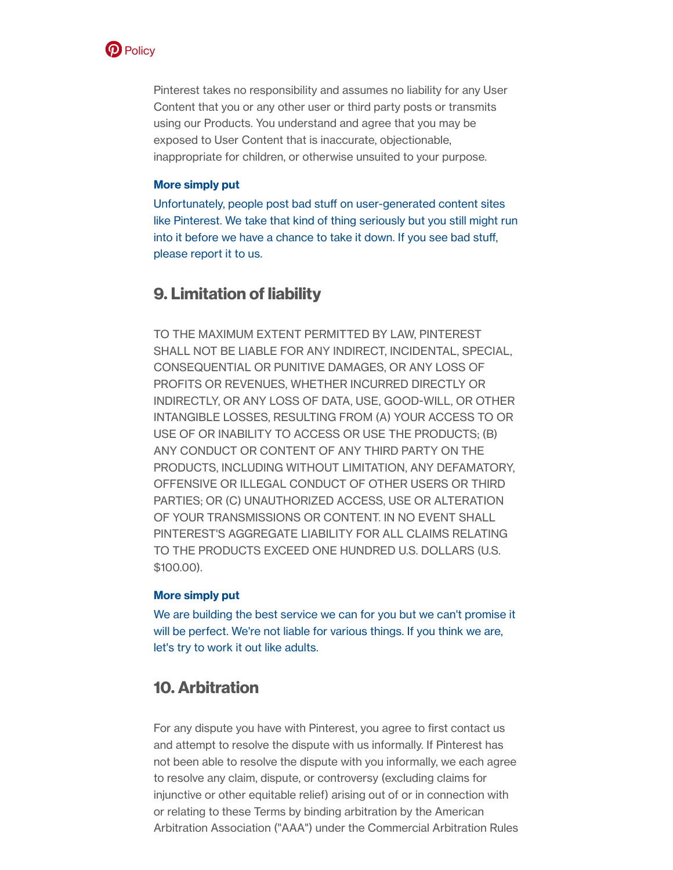

Pinterest takes no responsibility and assumes no liability for any User Content that you or any other user or third party posts or transmits using our Products. You understand and agree that you may be exposed to User Content that is inaccurate, objectionable, inappropriate for children, or otherwise unsuited to your purpose.

#### More simply put

Unfortunately, people post bad stuff on user-generated content sites like Pinterest. We take that kind of thing seriously but you still might run into it before we have a chance to take it down. If you see bad stuff, please [report](https://help.pinterest.com/articles/report-something-pinterest) it to us.

## 9. Limitation of liability

TO THE MAXIMUM EXTENT PERMITTED BY LAW, PINTEREST SHALL NOT BE LIABLE FOR ANY INDIRECT, INCIDENTAL, SPECIAL, CONSEQUENTIAL OR PUNITIVE DAMAGES, OR ANY LOSS OF PROFITS OR REVENUES, WHETHER INCURRED DIRECTLY OR INDIRECTLY, OR ANY LOSS OF DATA, USE, GOOD-WILL, OR OTHER INTANGIBLE LOSSES, RESULTING FROM (A) YOUR ACCESS TO OR USE OF OR INABILITY TO ACCESS OR USE THE PRODUCTS; (B) ANY CONDUCT OR CONTENT OF ANY THIRD PARTY ON THE PRODUCTS, INCLUDING WITHOUT LIMITATION, ANY DEFAMATORY, OFFENSIVE OR ILLEGAL CONDUCT OF OTHER USERS OR THIRD PARTIES; OR (C) UNAUTHORIZED ACCESS, USE OR ALTERATION OF YOUR TRANSMISSIONS OR CONTENT. IN NO EVENT SHALL PINTEREST'S AGGREGATE LIABILITY FOR ALL CLAIMS RELATING TO THE PRODUCTS EXCEED ONE HUNDRED U.S. DOLLARS (U.S. \$100.00).

#### More simply put

We are building the best service we can for you but we can't promise it will be perfect. We're not liable for various things. If you think we are, let's try to work it out like adults.

## 10. Arbitration

For any dispute you have with Pinterest, you agree to first contact us and attempt to resolve the dispute with us informally. If Pinterest has not been able to resolve the dispute with you informally, we each agree to resolve any claim, dispute, or controversy (excluding claims for injunctive or other equitable relief) arising out of or in connection with or relating to these Terms by binding arbitration by the American Arbitration Association ("AAA") under the Commercial Arbitration Rules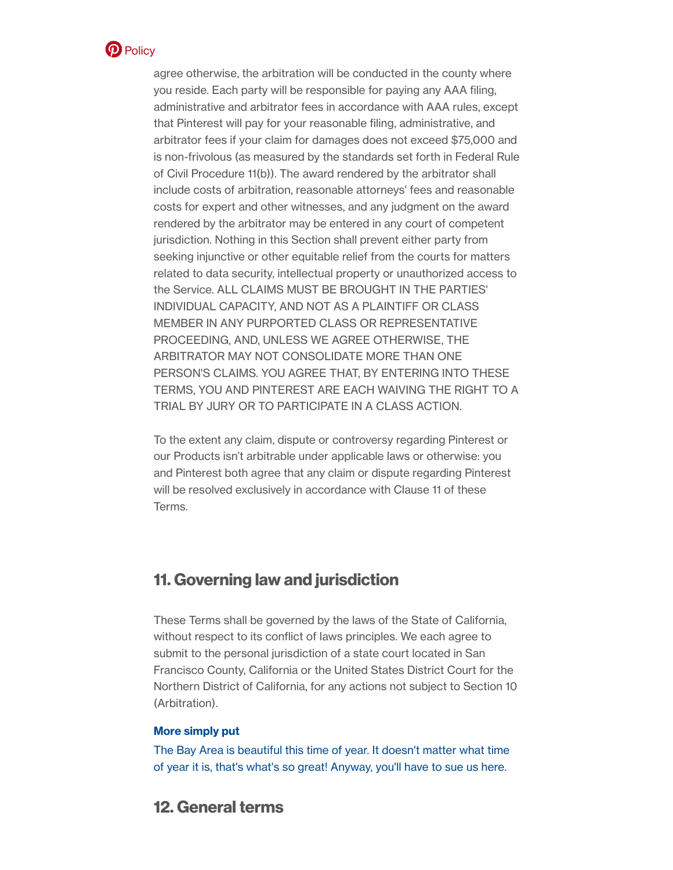

agree otherwise, the arbitration will be conducted in the county where you reside. Each party will be responsible for paying any AAA filing, administrative and arbitrator fees in accordance with AAA rules, except that Pinterest will pay for your reasonable filing, administrative, and arbitrator fees if your claim for damages does not exceed \$75,000 and is non-frivolous (as measured by the standards set forth in Federal Rule of Civil Procedure 11(b)). The award rendered by the arbitrator shall include costs of arbitration, reasonable attorneys' fees and reasonable costs for expert and other witnesses, and any judgment on the award rendered by the arbitrator may be entered in any court of competent jurisdiction. Nothing in this Section shall prevent either party from seeking injunctive or other equitable relief from the courts for matters related to data security, intellectual property or unauthorized access to the Service. ALL CLAIMS MUST BE BROUGHT IN THE PARTIES' INDIVIDUAL CAPACITY, AND NOT AS A PLAINTIFF OR CLASS MEMBER IN ANY PURPORTED CLASS OR REPRESENTATIVE PROCEEDING, AND, UNLESS WE AGREE OTHERWISE, THE ARBITRATOR MAY NOT CONSOLIDATE MORE THAN ONE PERSON'S CLAIMS. YOU AGREE THAT, BY ENTERING INTO THESE TERMS, YOU AND PINTEREST ARE EACH WAIVING THE RIGHT TO A TRIAL BY JURY OR TO PARTICIPATE IN A CLASS ACTION.

To the extent any claim, dispute or controversy regarding Pinterest or our Products isn't arbitrable under applicable laws or otherwise: you and Pinterest both agree that any claim or dispute regarding Pinterest will be resolved exclusively in accordance with Clause 11 of these Terms.

# 11. Governing law and jurisdiction

These Terms shall be governed by the laws of the State of California, without respect to its conflict of laws principles. We each agree to submit to the personal jurisdiction of a state court located in San Francisco County, California or the United States District Court for the Northern District of California, for any actions not subject to Section 10 (Arbitration).

#### More simply put

The Bay Area is beautiful this time of year. It doesn't matter what time of year it is, that's what's so great! Anyway, you'll have to sue us here.

## 12. General terms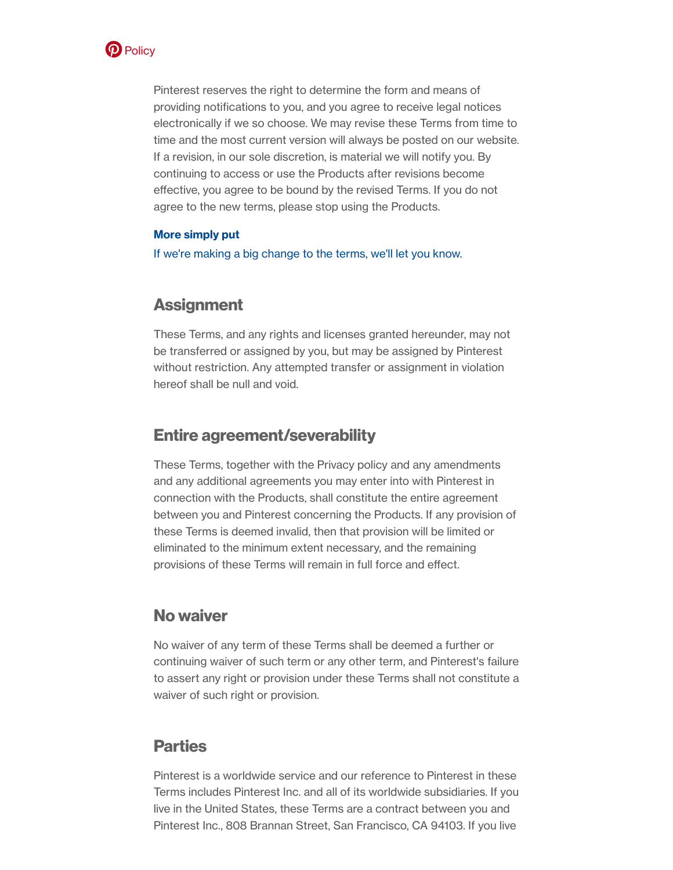

Pinterest reserves the right to determine the form and means of providing notifications to you, and you agree to receive legal notices electronically if we so choose. We may revise these Terms from time to time and the most current version will always be posted on our website. If a revision, in our sole discretion, is material we will notify you. By continuing to access or use the Products after revisions become effective, you agree to be bound by the revised Terms. If you do not agree to the new terms, please stop using the Products.

#### More simply put

If we're making a big change to the terms, we'll let you know.

## **Assignment**

These Terms, and any rights and licenses granted hereunder, may not be transferred or assigned by you, but may be assigned by Pinterest without restriction. Any attempted transfer or assignment in violation hereof shall be null and void.

## Entire agreement/severability

These Terms, together with the Privacy policy and any amendments and any additional agreements you may enter into with Pinterest in connection with the Products, shall constitute the entire agreement between you and Pinterest concerning the Products. If any provision of these Terms is deemed invalid, then that provision will be limited or eliminated to the minimum extent necessary, and the remaining provisions of these Terms will remain in full force and effect.

## No waiver

No waiver of any term of these Terms shall be deemed a further or continuing waiver of such term or any other term, and Pinterest's failure to assert any right or provision under these Terms shall not constitute a waiver of such right or provision.

# **Parties**

Pinterest is a worldwide service and our reference to Pinterest in these Terms includes Pinterest Inc. and all of its worldwide subsidiaries. If you live in the United States, these Terms are a contract between you and Pinterest Inc., 808 Brannan Street, San Francisco, CA 94103. If you live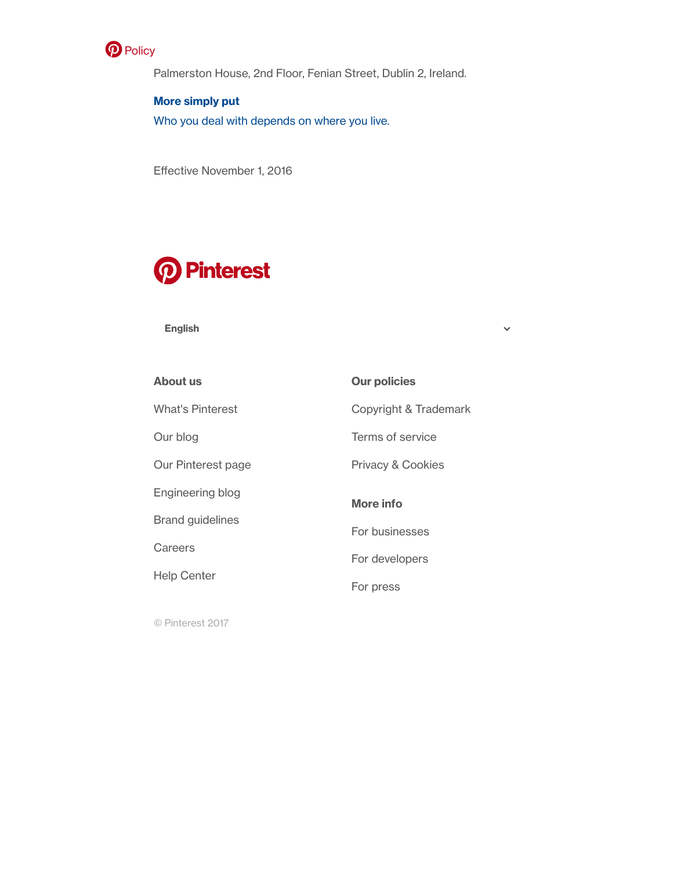

Palmerston House, 2nd Floor, Fenian Street, Dublin 2, Ireland.

More simply put Who you deal with depends on where you live.

Effective November 1, 2016



English

| <b>About us</b>         | <b>Our policies</b>          |
|-------------------------|------------------------------|
| <b>What's Pinterest</b> | Copyright & Trademark        |
| Our blog                | Terms of service             |
| Our Pinterest page      | <b>Privacy &amp; Cookies</b> |
| Engineering blog        | More info                    |
| <b>Brand guidelines</b> | For businesses               |
| Careers                 |                              |
|                         | For developers               |
| <b>Help Center</b>      | For press                    |

© Pinterest 2017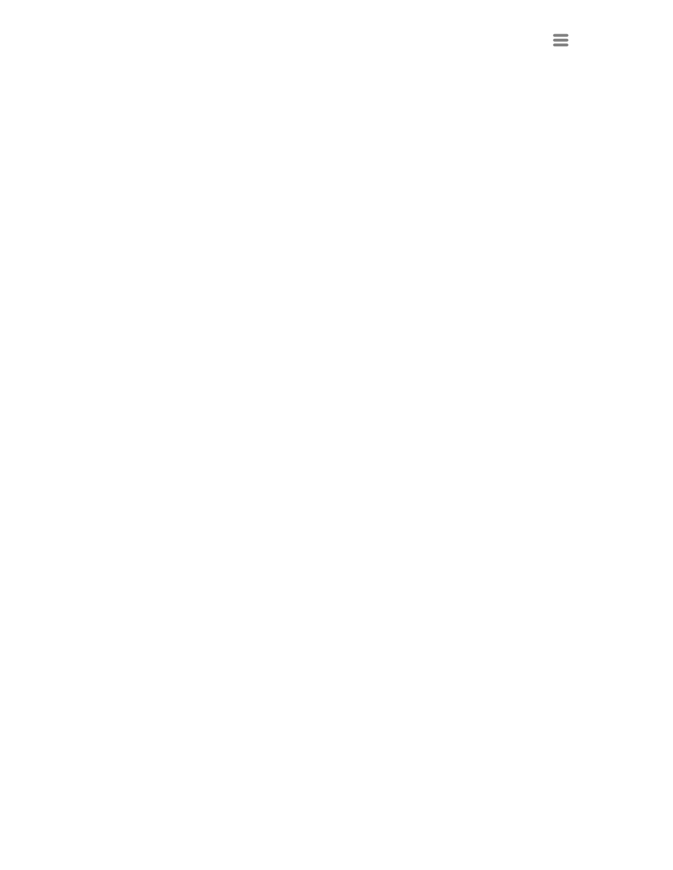$\equiv$